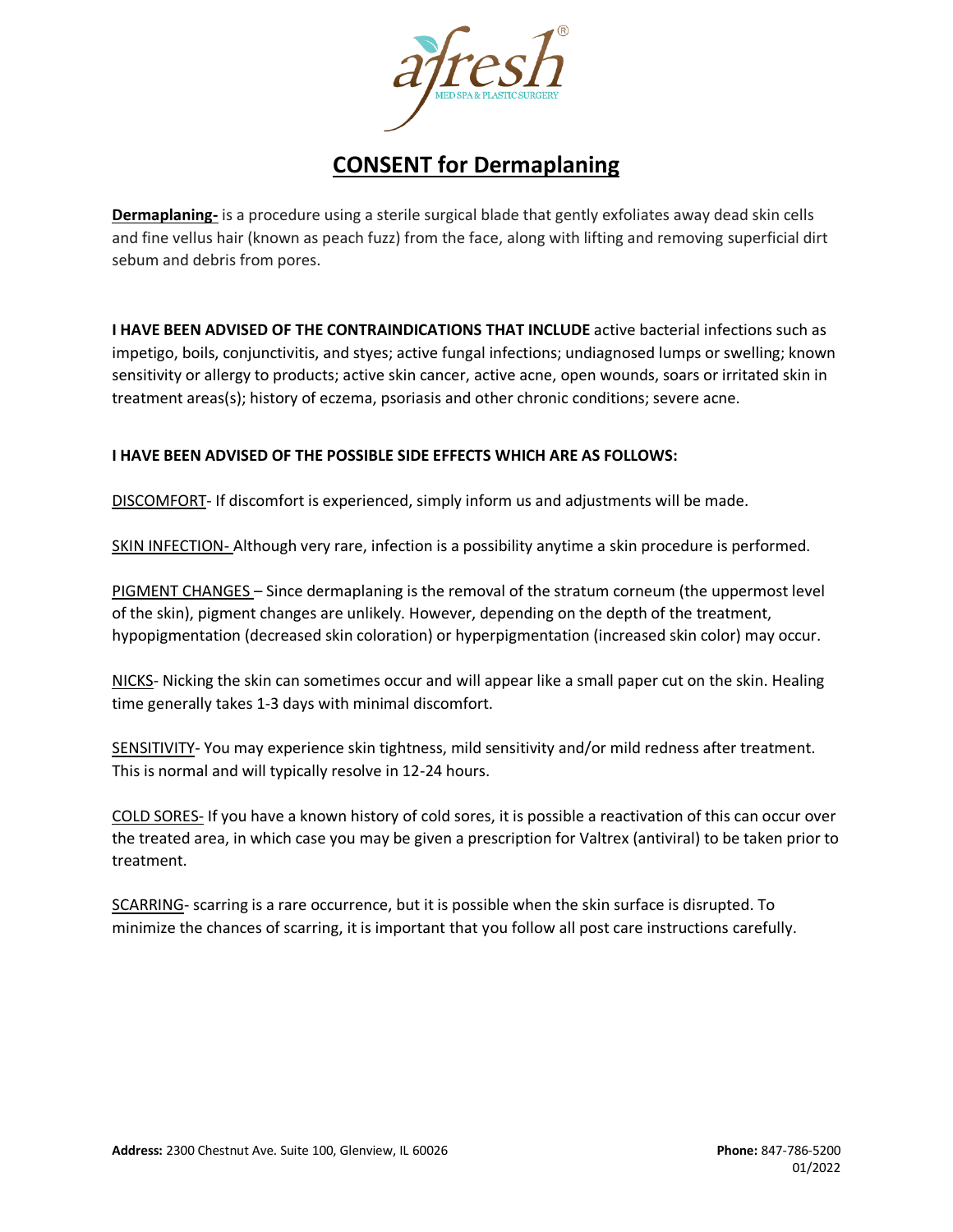

## **CONSENT for Dermaplaning**

**Dermaplaning-** is a procedure using a sterile surgical blade that gently exfoliates away dead skin cells and fine vellus hair (known as peach fuzz) from the face, along with lifting and removing superficial dirt sebum and debris from pores.

**I HAVE BEEN ADVISED OF THE CONTRAINDICATIONS THAT INCLUDE** active bacterial infections such as impetigo, boils, conjunctivitis, and styes; active fungal infections; undiagnosed lumps or swelling; known sensitivity or allergy to products; active skin cancer, active acne, open wounds, soars or irritated skin in treatment areas(s); history of eczema, psoriasis and other chronic conditions; severe acne.

## **I HAVE BEEN ADVISED OF THE POSSIBLE SIDE EFFECTS WHICH ARE AS FOLLOWS:**

DISCOMFORT- If discomfort is experienced, simply inform us and adjustments will be made.

SKIN INFECTION- Although very rare, infection is a possibility anytime a skin procedure is performed.

PIGMENT CHANGES – Since dermaplaning is the removal of the stratum corneum (the uppermost level of the skin), pigment changes are unlikely. However, depending on the depth of the treatment, hypopigmentation (decreased skin coloration) or hyperpigmentation (increased skin color) may occur.

NICKS- Nicking the skin can sometimes occur and will appear like a small paper cut on the skin. Healing time generally takes 1-3 days with minimal discomfort.

SENSITIVITY- You may experience skin tightness, mild sensitivity and/or mild redness after treatment. This is normal and will typically resolve in 12-24 hours.

COLD SORES- If you have a known history of cold sores, it is possible a reactivation of this can occur over the treated area, in which case you may be given a prescription for Valtrex (antiviral) to be taken prior to treatment.

SCARRING- scarring is a rare occurrence, but it is possible when the skin surface is disrupted. To minimize the chances of scarring, it is important that you follow all post care instructions carefully.